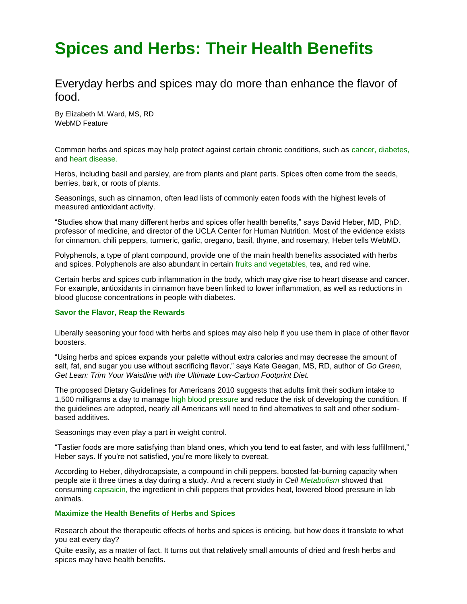# **Spices and Herbs: Their Health Benefits**

## Everyday herbs and spices may do more than enhance the flavor of food.

By [Elizabeth M. Ward, MS, RD](http://www.webmd.com/elizabeth-ward) WebMD Feature

Common herbs and spices may help protect against certain chronic conditions, such as [cancer,](http://www.webmd.com/cancer/) [diabetes,](http://www.webmd.com/diabetes/default.htm) and [heart disease.](http://www.webmd.com/heart-disease/default.htm)

Herbs, including basil and parsley, are from plants and plant parts. Spices often come from the seeds, berries, bark, or roots of plants.

Seasonings, such as cinnamon, often lead lists of commonly eaten foods with the highest levels of measured antioxidant activity.

"Studies show that many different herbs and spices offer health benefits," says David Heber, MD, PhD, professor of medicine, and director of the UCLA Center for Human Nutrition. Most of the evidence exists for cinnamon, chili peppers, turmeric, garlic, oregano, basil, thyme, and rosemary, Heber tells WebMD.

Polyphenols, a type of plant compound, provide one of the main health benefits associated with herbs and spices. Polyphenols are also abundant in certain [fruits and vegetables,](http://www.webmd.com/food-recipes/features/fruits-veggies-more-matters) tea, and red wine.

Certain herbs and spices curb inflammation in the body, which may give rise to heart disease and cancer. For example, antioxidants in cinnamon have been linked to lower inflammation, as well as reductions in blood glucose concentrations in people with diabetes.

#### **Savor the Flavor, Reap the Rewards**

Liberally seasoning your food with herbs and spices may also help if you use them in place of other flavor boosters.

"Using herbs and spices expands your palette without extra calories and may decrease the amount of salt, fat, and sugar you use without sacrificing flavor," says Kate Geagan, MS, RD, author of *Go Green, Get Lean: Trim Your Waistline with the Ultimate Low-Carbon Footprint Diet.*

The proposed Dietary Guidelines for Americans 2010 suggests that adults limit their sodium intake to 1,500 milligrams a day to manage [high blood pressure](http://www.webmd.com/hypertension-high-blood-pressure/default.htm) and reduce the risk of developing the condition. If the guidelines are adopted, nearly all Americans will need to find alternatives to salt and other sodiumbased additives.

Seasonings may even play a part in weight control.

"Tastier foods are more satisfying than bland ones, which you tend to eat faster, and with less fulfillment," Heber says. If you're not satisfied, you're more likely to overeat.

According to Heber, dihydrocapsiate, a compound in chili peppers, boosted fat-burning capacity when people ate it three times a day during a study. And a recent study in *Cell [Metabolism](http://www.webmd.com/diet/features/make-most-your-metabolism)* showed that consuming [capsaicin,](http://www.webmd.com/drugs/drug-4181-capsaicin+top.aspx) the ingredient in chili peppers that provides heat, lowered blood pressure in lab animals.

#### **Maximize the Health Benefits of Herbs and Spices**

Research about the therapeutic effects of herbs and spices is enticing, but how does it translate to what you eat every day?

Quite easily, as a matter of fact. It turns out that relatively small amounts of dried and fresh herbs and spices may have health benefits.